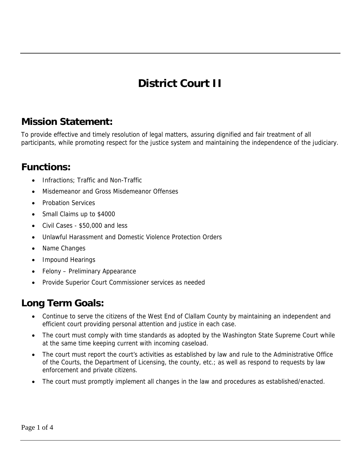# **District Court II**

### **Mission Statement:**

To provide effective and timely resolution of legal matters, assuring dignified and fair treatment of all participants, while promoting respect for the justice system and maintaining the independence of the judiciary.

#### **Functions:**

- Infractions; Traffic and Non-Traffic
- Misdemeanor and Gross Misdemeanor Offenses
- Probation Services
- Small Claims up to \$4000
- Civil Cases \$50,000 and less
- Unlawful Harassment and Domestic Violence Protection Orders
- Name Changes
- Impound Hearings
- Felony Preliminary Appearance
- Provide Superior Court Commissioner services as needed

### **Long Term Goals:**

- Continue to serve the citizens of the West End of Clallam County by maintaining an independent and efficient court providing personal attention and justice in each case.
- The court must comply with time standards as adopted by the Washington State Supreme Court while at the same time keeping current with incoming caseload.
- The court must report the court's activities as established by law and rule to the Administrative Office of the Courts, the Department of Licensing, the county, etc.; as well as respond to requests by law enforcement and private citizens.
- The court must promptly implement all changes in the law and procedures as established/enacted.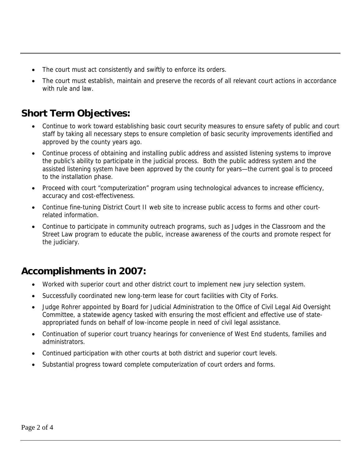- The court must act consistently and swiftly to enforce its orders.
- The court must establish, maintain and preserve the records of all relevant court actions in accordance with rule and law.

### **Short Term Objectives:**

- Continue to work toward establishing basic court security measures to ensure safety of public and court staff by taking all necessary steps to ensure completion of basic security improvements identified and approved by the county years ago.
- Continue process of obtaining and installing public address and assisted listening systems to improve the public's ability to participate in the judicial process. Both the public address system and the assisted listening system have been approved by the county for years—the current goal is to proceed to the installation phase.
- Proceed with court "computerization" program using technological advances to increase efficiency, accuracy and cost-effectiveness.
- Continue fine-tuning District Court II web site to increase public access to forms and other courtrelated information.
- Continue to participate in community outreach programs, such as Judges in the Classroom and the Street Law program to educate the public, increase awareness of the courts and promote respect for the judiciary.

#### **Accomplishments in 2007:**

- Worked with superior court and other district court to implement new jury selection system.
- Successfully coordinated new long-term lease for court facilities with City of Forks.
- Judge Rohrer appointed by Board for Judicial Administration to the Office of Civil Legal Aid Oversight Committee, a statewide agency tasked with ensuring the most efficient and effective use of stateappropriated funds on behalf of low-income people in need of civil legal assistance.
- Continuation of superior court truancy hearings for convenience of West End students, families and administrators.
- Continued participation with other courts at both district and superior court levels.
- Substantial progress toward complete computerization of court orders and forms.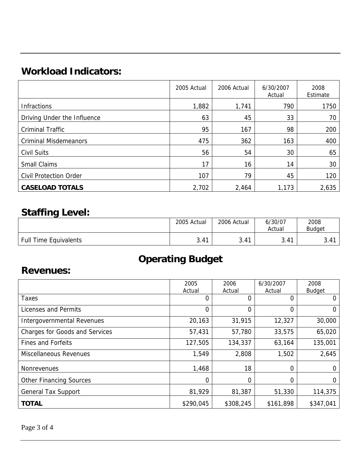## **Workload Indicators:**

|                               | 2005 Actual | 2006 Actual | 6/30/2007<br>Actual | 2008<br>Estimate |
|-------------------------------|-------------|-------------|---------------------|------------------|
| Infractions                   | 1,882       | 1,741       | 790                 | 1750             |
| Driving Under the Influence   | 63          | 45          | 33                  | 70               |
| <b>Criminal Traffic</b>       | 95          | 167         | 98                  | 200              |
| <b>Criminal Misdemeanors</b>  | 475         | 362         | 163                 | 400              |
| <b>Civil Suits</b>            | 56          | 54          | 30                  | 65               |
| <b>Small Claims</b>           | 17          | 16          | 14                  | 30               |
| <b>Civil Protection Order</b> | 107         | 79          | 45                  | 120              |
| <b>CASELOAD TOTALS</b>        | 2,702       | 2,464       | 1,173               | 2,635            |

### **Staffing Level:**

|                              | 2005 Actual | 2006 Actual | 6/30/07<br>Actual | 2008<br><b>Budget</b> |
|------------------------------|-------------|-------------|-------------------|-----------------------|
| <b>Full Time Equivalents</b> | 3.41        | 3.41        | 3.41              | 3.41                  |

## **Operating Budget**

#### **Revenues:**

|                                       | 2005           | 2006      | 6/30/2007 | 2008          |
|---------------------------------------|----------------|-----------|-----------|---------------|
|                                       | Actual         | Actual    | Actual    | <b>Budget</b> |
| Taxes                                 | 0              | 0         | 0         | 0             |
| Licenses and Permits                  | $\overline{0}$ | 0         | 0         | 0             |
| <b>Intergovernmental Revenues</b>     | 20,163         | 31,915    | 12,327    | 30,000        |
| <b>Charges for Goods and Services</b> | 57,431         | 57,780    | 33,575    | 65,020        |
| <b>Fines and Forfeits</b>             | 127,505        | 134,337   | 63,164    | 135,001       |
| <b>Miscellaneous Revenues</b>         | 1,549          | 2,808     | 1,502     | 2,645         |
| <b>Nonrevenues</b>                    | 1,468          | 18        | 0         |               |
| <b>Other Financing Sources</b>        | 0              | 0         | 0         | 0             |
| <b>General Tax Support</b>            | 81,929         | 81,387    | 51,330    | 114,375       |
| <b>TOTAL</b>                          | \$290,045      | \$308,245 | \$161,898 | \$347,041     |

Page 3 of 4